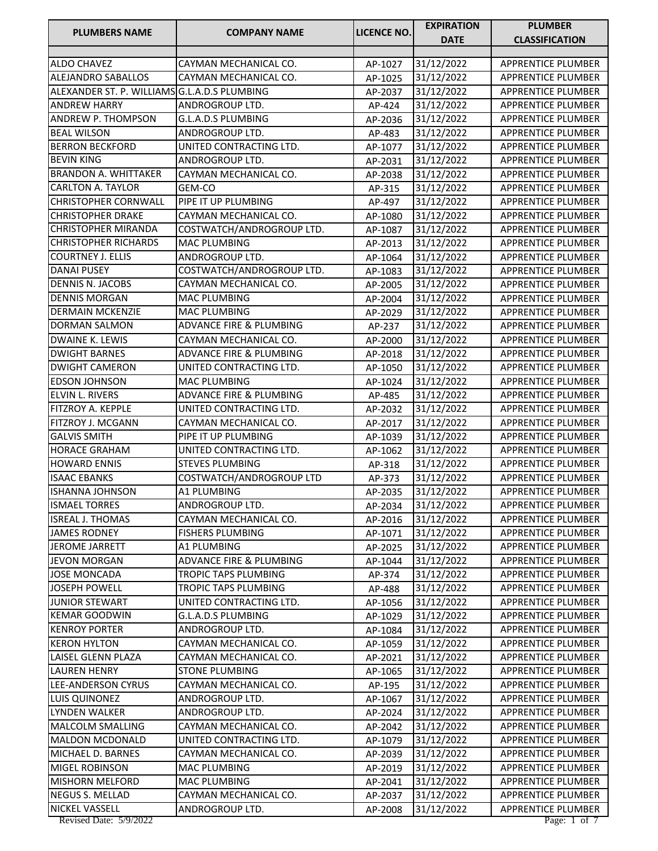| <b>DATE</b><br><b>CLASSIFICATION</b><br>31/12/2022<br>APPRENTICE PLUMBER<br><b>ALDO CHAVEZ</b><br>CAYMAN MECHANICAL CO.<br>AP-1027<br>ALEJANDRO SABALLOS<br>31/12/2022<br>CAYMAN MECHANICAL CO.<br>APPRENTICE PLUMBER<br>AP-1025<br>ALEXANDER ST. P. WILLIAMS G.L.A.D.S PLUMBING<br>31/12/2022<br>APPRENTICE PLUMBER<br>AP-2037<br>ANDREW HARRY<br>ANDROGROUP LTD.<br>31/12/2022<br>APPRENTICE PLUMBER<br>AP-424<br><b>ANDREW P. THOMPSON</b><br>G.L.A.D.S PLUMBING<br>31/12/2022<br>APPRENTICE PLUMBER<br>AP-2036<br><b>BEAL WILSON</b><br>ANDROGROUP LTD.<br>31/12/2022<br><b>APPRENTICE PLUMBER</b><br>AP-483<br><b>BERRON BECKFORD</b><br>UNITED CONTRACTING LTD.<br>31/12/2022<br>APPRENTICE PLUMBER<br>AP-1077<br><b>BEVIN KING</b><br>31/12/2022<br>APPRENTICE PLUMBER<br>ANDROGROUP LTD.<br>AP-2031<br><b>BRANDON A. WHITTAKER</b><br>CAYMAN MECHANICAL CO.<br>31/12/2022<br>APPRENTICE PLUMBER<br>AP-2038<br><b>CARLTON A. TAYLOR</b><br><b>APPRENTICE PLUMBER</b><br>GEM-CO<br>31/12/2022<br>AP-315<br><b>CHRISTOPHER CORNWALL</b><br>PIPE IT UP PLUMBING<br>31/12/2022<br>APPRENTICE PLUMBER<br>AP-497<br><b>CHRISTOPHER DRAKE</b><br>CAYMAN MECHANICAL CO.<br>31/12/2022<br>APPRENTICE PLUMBER<br>AP-1080<br><b>CHRISTOPHER MIRANDA</b><br>COSTWATCH/ANDROGROUP LTD.<br>31/12/2022<br><b>APPRENTICE PLUMBER</b><br>AP-1087<br><b>CHRISTOPHER RICHARDS</b><br><b>MAC PLUMBING</b><br>31/12/2022<br>APPRENTICE PLUMBER<br>AP-2013<br><b>COURTNEY J. ELLIS</b><br>ANDROGROUP LTD.<br>AP-1064<br>31/12/2022<br>APPRENTICE PLUMBER<br>COSTWATCH/ANDROGROUP LTD.<br><b>DANAI PUSEY</b><br>31/12/2022<br>APPRENTICE PLUMBER<br>AP-1083<br><b>DENNIS N. JACOBS</b><br>CAYMAN MECHANICAL CO.<br>31/12/2022<br><b>APPRENTICE PLUMBER</b><br>AP-2005<br><b>DENNIS MORGAN</b><br>MAC PLUMBING<br>31/12/2022<br>APPRENTICE PLUMBER<br>AP-2004<br><b>DERMAIN MCKENZIE</b><br><b>MAC PLUMBING</b><br>31/12/2022<br>APPRENTICE PLUMBER<br>AP-2029<br><b>DORMAN SALMON</b><br>ADVANCE FIRE & PLUMBING<br>31/12/2022<br><b>APPRENTICE PLUMBER</b><br>AP-237<br><b>DWAINE K. LEWIS</b><br>CAYMAN MECHANICAL CO.<br>31/12/2022<br>APPRENTICE PLUMBER<br>AP-2000<br><b>DWIGHT BARNES</b><br>ADVANCE FIRE & PLUMBING<br>31/12/2022<br>APPRENTICE PLUMBER<br>AP-2018<br><b>DWIGHT CAMERON</b><br>UNITED CONTRACTING LTD.<br>31/12/2022<br><b>APPRENTICE PLUMBER</b><br>AP-1050<br><b>EDSON JOHNSON</b><br>MAC PLUMBING<br><b>APPRENTICE PLUMBER</b><br>31/12/2022<br>AP-1024<br>ELVIN L. RIVERS<br>ADVANCE FIRE & PLUMBING<br>31/12/2022<br>APPRENTICE PLUMBER<br>AP-485<br>FITZROY A. KEPPLE<br>APPRENTICE PLUMBER<br>UNITED CONTRACTING LTD.<br>31/12/2022<br>AP-2032<br>FITZROY J. MCGANN<br>CAYMAN MECHANICAL CO.<br>31/12/2022<br>APPRENTICE PLUMBER<br>AP-2017<br><b>GALVIS SMITH</b><br>PIPE IT UP PLUMBING<br>APPRENTICE PLUMBER<br>31/12/2022<br>AP-1039<br>UNITED CONTRACTING LTD.<br>31/12/2022<br><b>HORACE GRAHAM</b><br>APPRENTICE PLUMBER<br>AP-1062<br><b>STEVES PLUMBING</b><br><b>HOWARD ENNIS</b><br>31/12/2022<br>APPRENTICE PLUMBER<br>AP-318<br>COSTWATCH/ANDROGROUP LTD<br><b>ISAAC EBANKS</b><br>31/12/2022<br>APPRENTICE PLUMBER<br>AP-373<br><b>A1 PLUMBING</b><br><b>ISHANNA JOHNSON</b><br>31/12/2022<br><b>APPRENTICE PLUMBER</b><br>AP-2035<br><b>ISMAEL TORRES</b><br>ANDROGROUP LTD.<br>AP-2034<br>31/12/2022<br>APPRENTICE PLUMBER<br><b>ISREAL J. THOMAS</b><br>CAYMAN MECHANICAL CO.<br>31/12/2022<br>APPRENTICE PLUMBER<br>AP-2016<br><b>JAMES RODNEY</b><br><b>FISHERS PLUMBING</b><br>31/12/2022<br><b>APPRENTICE PLUMBER</b><br>AP-1071<br>A1 PLUMBING<br>31/12/2022<br>APPRENTICE PLUMBER<br><b>JEROME JARRETT</b><br>AP-2025<br>ADVANCE FIRE & PLUMBING<br>31/12/2022<br><b>JEVON MORGAN</b><br>AP-1044<br><b>APPRENTICE PLUMBER</b><br><b>JOSE MONCADA</b><br><b>TROPIC TAPS PLUMBING</b><br>31/12/2022<br><b>APPRENTICE PLUMBER</b><br>AP-374<br><b>JOSEPH POWELL</b><br>TROPIC TAPS PLUMBING<br>31/12/2022<br>APPRENTICE PLUMBER<br>AP-488<br><b>JUNIOR STEWART</b><br>UNITED CONTRACTING LTD.<br>APPRENTICE PLUMBER<br>AP-1056<br>31/12/2022<br><b>KEMAR GOODWIN</b><br>G.L.A.D.S PLUMBING<br>31/12/2022<br><b>APPRENTICE PLUMBER</b><br>AP-1029<br>ANDROGROUP LTD.<br>APPRENTICE PLUMBER<br><b>KENROY PORTER</b><br>31/12/2022<br>AP-1084<br><b>KERON HYLTON</b><br>CAYMAN MECHANICAL CO.<br>31/12/2022<br>APPRENTICE PLUMBER<br>AP-1059<br>LAISEL GLENN PLAZA<br>CAYMAN MECHANICAL CO.<br>31/12/2022<br>AP-2021<br>APPRENTICE PLUMBER<br><b>STONE PLUMBING</b><br><b>LAUREN HENRY</b><br>31/12/2022<br><b>APPRENTICE PLUMBER</b><br>AP-1065<br><b>LEE-ANDERSON CYRUS</b><br>CAYMAN MECHANICAL CO.<br>31/12/2022<br>APPRENTICE PLUMBER<br>AP-195<br>LUIS QUINONEZ<br>ANDROGROUP LTD.<br>31/12/2022<br>APPRENTICE PLUMBER<br>AP-1067<br>LYNDEN WALKER<br>ANDROGROUP LTD.<br>31/12/2022<br>APPRENTICE PLUMBER<br>AP-2024<br>MALCOLM SMALLING<br>CAYMAN MECHANICAL CO.<br>31/12/2022<br>APPRENTICE PLUMBER<br>AP-2042<br>UNITED CONTRACTING LTD.<br>31/12/2022<br>APPRENTICE PLUMBER<br><b>MALDON MCDONALD</b><br>AP-1079<br>CAYMAN MECHANICAL CO.<br>MICHAEL D. BARNES<br>31/12/2022<br>APPRENTICE PLUMBER<br>AP-2039<br><b>MAC PLUMBING</b><br>31/12/2022<br>APPRENTICE PLUMBER<br><b>MIGEL ROBINSON</b><br>AP-2019<br><b>MISHORN MELFORD</b><br>MAC PLUMBING<br>AP-2041<br>31/12/2022<br>APPRENTICE PLUMBER<br><b>NEGUS S. MELLAD</b><br>CAYMAN MECHANICAL CO.<br>31/12/2022<br>APPRENTICE PLUMBER<br>AP-2037<br>NICKEL VASSELL<br>ANDROGROUP LTD.<br>APPRENTICE PLUMBER<br>31/12/2022<br>AP-2008 | <b>PLUMBERS NAME</b>   | <b>COMPANY NAME</b> | <b>LICENCE NO.</b> | <b>EXPIRATION</b> | <b>PLUMBER</b> |
|--------------------------------------------------------------------------------------------------------------------------------------------------------------------------------------------------------------------------------------------------------------------------------------------------------------------------------------------------------------------------------------------------------------------------------------------------------------------------------------------------------------------------------------------------------------------------------------------------------------------------------------------------------------------------------------------------------------------------------------------------------------------------------------------------------------------------------------------------------------------------------------------------------------------------------------------------------------------------------------------------------------------------------------------------------------------------------------------------------------------------------------------------------------------------------------------------------------------------------------------------------------------------------------------------------------------------------------------------------------------------------------------------------------------------------------------------------------------------------------------------------------------------------------------------------------------------------------------------------------------------------------------------------------------------------------------------------------------------------------------------------------------------------------------------------------------------------------------------------------------------------------------------------------------------------------------------------------------------------------------------------------------------------------------------------------------------------------------------------------------------------------------------------------------------------------------------------------------------------------------------------------------------------------------------------------------------------------------------------------------------------------------------------------------------------------------------------------------------------------------------------------------------------------------------------------------------------------------------------------------------------------------------------------------------------------------------------------------------------------------------------------------------------------------------------------------------------------------------------------------------------------------------------------------------------------------------------------------------------------------------------------------------------------------------------------------------------------------------------------------------------------------------------------------------------------------------------------------------------------------------------------------------------------------------------------------------------------------------------------------------------------------------------------------------------------------------------------------------------------------------------------------------------------------------------------------------------------------------------------------------------------------------------------------------------------------------------------------------------------------------------------------------------------------------------------------------------------------------------------------------------------------------------------------------------------------------------------------------------------------------------------------------------------------------------------------------------------------------------------------------------------------------------------------------------------------------------------------------------------------------------------------------------------------------------------------------------------------------------------------------------------------------------------------------------------------------------------------------------------------------------------------------------------------------------------------------------------------------------------------------------------------------------------------------------------------------------------------------------------------------------------------------------------------------------------------------------------------------------------------------------------------------------------------------------------------------------------------------------------------------------------------------------------------------------------------------------------------------------------------------------------------------------------------------------------------------------------------------------------------------------------------------------------------------------------------------------------------------------------------------------------------------------------------------------------------------------------------------------------------------------------------------------------|------------------------|---------------------|--------------------|-------------------|----------------|
|                                                                                                                                                                                                                                                                                                                                                                                                                                                                                                                                                                                                                                                                                                                                                                                                                                                                                                                                                                                                                                                                                                                                                                                                                                                                                                                                                                                                                                                                                                                                                                                                                                                                                                                                                                                                                                                                                                                                                                                                                                                                                                                                                                                                                                                                                                                                                                                                                                                                                                                                                                                                                                                                                                                                                                                                                                                                                                                                                                                                                                                                                                                                                                                                                                                                                                                                                                                                                                                                                                                                                                                                                                                                                                                                                                                                                                                                                                                                                                                                                                                                                                                                                                                                                                                                                                                                                                                                                                                                                                                                                                                                                                                                                                                                                                                                                                                                                                                                                                                                                                                                                                                                                                                                                                                                                                                                                                                                                                                                                                                                      |                        |                     |                    |                   |                |
|                                                                                                                                                                                                                                                                                                                                                                                                                                                                                                                                                                                                                                                                                                                                                                                                                                                                                                                                                                                                                                                                                                                                                                                                                                                                                                                                                                                                                                                                                                                                                                                                                                                                                                                                                                                                                                                                                                                                                                                                                                                                                                                                                                                                                                                                                                                                                                                                                                                                                                                                                                                                                                                                                                                                                                                                                                                                                                                                                                                                                                                                                                                                                                                                                                                                                                                                                                                                                                                                                                                                                                                                                                                                                                                                                                                                                                                                                                                                                                                                                                                                                                                                                                                                                                                                                                                                                                                                                                                                                                                                                                                                                                                                                                                                                                                                                                                                                                                                                                                                                                                                                                                                                                                                                                                                                                                                                                                                                                                                                                                                      |                        |                     |                    |                   |                |
|                                                                                                                                                                                                                                                                                                                                                                                                                                                                                                                                                                                                                                                                                                                                                                                                                                                                                                                                                                                                                                                                                                                                                                                                                                                                                                                                                                                                                                                                                                                                                                                                                                                                                                                                                                                                                                                                                                                                                                                                                                                                                                                                                                                                                                                                                                                                                                                                                                                                                                                                                                                                                                                                                                                                                                                                                                                                                                                                                                                                                                                                                                                                                                                                                                                                                                                                                                                                                                                                                                                                                                                                                                                                                                                                                                                                                                                                                                                                                                                                                                                                                                                                                                                                                                                                                                                                                                                                                                                                                                                                                                                                                                                                                                                                                                                                                                                                                                                                                                                                                                                                                                                                                                                                                                                                                                                                                                                                                                                                                                                                      |                        |                     |                    |                   |                |
|                                                                                                                                                                                                                                                                                                                                                                                                                                                                                                                                                                                                                                                                                                                                                                                                                                                                                                                                                                                                                                                                                                                                                                                                                                                                                                                                                                                                                                                                                                                                                                                                                                                                                                                                                                                                                                                                                                                                                                                                                                                                                                                                                                                                                                                                                                                                                                                                                                                                                                                                                                                                                                                                                                                                                                                                                                                                                                                                                                                                                                                                                                                                                                                                                                                                                                                                                                                                                                                                                                                                                                                                                                                                                                                                                                                                                                                                                                                                                                                                                                                                                                                                                                                                                                                                                                                                                                                                                                                                                                                                                                                                                                                                                                                                                                                                                                                                                                                                                                                                                                                                                                                                                                                                                                                                                                                                                                                                                                                                                                                                      |                        |                     |                    |                   |                |
|                                                                                                                                                                                                                                                                                                                                                                                                                                                                                                                                                                                                                                                                                                                                                                                                                                                                                                                                                                                                                                                                                                                                                                                                                                                                                                                                                                                                                                                                                                                                                                                                                                                                                                                                                                                                                                                                                                                                                                                                                                                                                                                                                                                                                                                                                                                                                                                                                                                                                                                                                                                                                                                                                                                                                                                                                                                                                                                                                                                                                                                                                                                                                                                                                                                                                                                                                                                                                                                                                                                                                                                                                                                                                                                                                                                                                                                                                                                                                                                                                                                                                                                                                                                                                                                                                                                                                                                                                                                                                                                                                                                                                                                                                                                                                                                                                                                                                                                                                                                                                                                                                                                                                                                                                                                                                                                                                                                                                                                                                                                                      |                        |                     |                    |                   |                |
|                                                                                                                                                                                                                                                                                                                                                                                                                                                                                                                                                                                                                                                                                                                                                                                                                                                                                                                                                                                                                                                                                                                                                                                                                                                                                                                                                                                                                                                                                                                                                                                                                                                                                                                                                                                                                                                                                                                                                                                                                                                                                                                                                                                                                                                                                                                                                                                                                                                                                                                                                                                                                                                                                                                                                                                                                                                                                                                                                                                                                                                                                                                                                                                                                                                                                                                                                                                                                                                                                                                                                                                                                                                                                                                                                                                                                                                                                                                                                                                                                                                                                                                                                                                                                                                                                                                                                                                                                                                                                                                                                                                                                                                                                                                                                                                                                                                                                                                                                                                                                                                                                                                                                                                                                                                                                                                                                                                                                                                                                                                                      |                        |                     |                    |                   |                |
|                                                                                                                                                                                                                                                                                                                                                                                                                                                                                                                                                                                                                                                                                                                                                                                                                                                                                                                                                                                                                                                                                                                                                                                                                                                                                                                                                                                                                                                                                                                                                                                                                                                                                                                                                                                                                                                                                                                                                                                                                                                                                                                                                                                                                                                                                                                                                                                                                                                                                                                                                                                                                                                                                                                                                                                                                                                                                                                                                                                                                                                                                                                                                                                                                                                                                                                                                                                                                                                                                                                                                                                                                                                                                                                                                                                                                                                                                                                                                                                                                                                                                                                                                                                                                                                                                                                                                                                                                                                                                                                                                                                                                                                                                                                                                                                                                                                                                                                                                                                                                                                                                                                                                                                                                                                                                                                                                                                                                                                                                                                                      |                        |                     |                    |                   |                |
|                                                                                                                                                                                                                                                                                                                                                                                                                                                                                                                                                                                                                                                                                                                                                                                                                                                                                                                                                                                                                                                                                                                                                                                                                                                                                                                                                                                                                                                                                                                                                                                                                                                                                                                                                                                                                                                                                                                                                                                                                                                                                                                                                                                                                                                                                                                                                                                                                                                                                                                                                                                                                                                                                                                                                                                                                                                                                                                                                                                                                                                                                                                                                                                                                                                                                                                                                                                                                                                                                                                                                                                                                                                                                                                                                                                                                                                                                                                                                                                                                                                                                                                                                                                                                                                                                                                                                                                                                                                                                                                                                                                                                                                                                                                                                                                                                                                                                                                                                                                                                                                                                                                                                                                                                                                                                                                                                                                                                                                                                                                                      |                        |                     |                    |                   |                |
|                                                                                                                                                                                                                                                                                                                                                                                                                                                                                                                                                                                                                                                                                                                                                                                                                                                                                                                                                                                                                                                                                                                                                                                                                                                                                                                                                                                                                                                                                                                                                                                                                                                                                                                                                                                                                                                                                                                                                                                                                                                                                                                                                                                                                                                                                                                                                                                                                                                                                                                                                                                                                                                                                                                                                                                                                                                                                                                                                                                                                                                                                                                                                                                                                                                                                                                                                                                                                                                                                                                                                                                                                                                                                                                                                                                                                                                                                                                                                                                                                                                                                                                                                                                                                                                                                                                                                                                                                                                                                                                                                                                                                                                                                                                                                                                                                                                                                                                                                                                                                                                                                                                                                                                                                                                                                                                                                                                                                                                                                                                                      |                        |                     |                    |                   |                |
|                                                                                                                                                                                                                                                                                                                                                                                                                                                                                                                                                                                                                                                                                                                                                                                                                                                                                                                                                                                                                                                                                                                                                                                                                                                                                                                                                                                                                                                                                                                                                                                                                                                                                                                                                                                                                                                                                                                                                                                                                                                                                                                                                                                                                                                                                                                                                                                                                                                                                                                                                                                                                                                                                                                                                                                                                                                                                                                                                                                                                                                                                                                                                                                                                                                                                                                                                                                                                                                                                                                                                                                                                                                                                                                                                                                                                                                                                                                                                                                                                                                                                                                                                                                                                                                                                                                                                                                                                                                                                                                                                                                                                                                                                                                                                                                                                                                                                                                                                                                                                                                                                                                                                                                                                                                                                                                                                                                                                                                                                                                                      |                        |                     |                    |                   |                |
|                                                                                                                                                                                                                                                                                                                                                                                                                                                                                                                                                                                                                                                                                                                                                                                                                                                                                                                                                                                                                                                                                                                                                                                                                                                                                                                                                                                                                                                                                                                                                                                                                                                                                                                                                                                                                                                                                                                                                                                                                                                                                                                                                                                                                                                                                                                                                                                                                                                                                                                                                                                                                                                                                                                                                                                                                                                                                                                                                                                                                                                                                                                                                                                                                                                                                                                                                                                                                                                                                                                                                                                                                                                                                                                                                                                                                                                                                                                                                                                                                                                                                                                                                                                                                                                                                                                                                                                                                                                                                                                                                                                                                                                                                                                                                                                                                                                                                                                                                                                                                                                                                                                                                                                                                                                                                                                                                                                                                                                                                                                                      |                        |                     |                    |                   |                |
|                                                                                                                                                                                                                                                                                                                                                                                                                                                                                                                                                                                                                                                                                                                                                                                                                                                                                                                                                                                                                                                                                                                                                                                                                                                                                                                                                                                                                                                                                                                                                                                                                                                                                                                                                                                                                                                                                                                                                                                                                                                                                                                                                                                                                                                                                                                                                                                                                                                                                                                                                                                                                                                                                                                                                                                                                                                                                                                                                                                                                                                                                                                                                                                                                                                                                                                                                                                                                                                                                                                                                                                                                                                                                                                                                                                                                                                                                                                                                                                                                                                                                                                                                                                                                                                                                                                                                                                                                                                                                                                                                                                                                                                                                                                                                                                                                                                                                                                                                                                                                                                                                                                                                                                                                                                                                                                                                                                                                                                                                                                                      |                        |                     |                    |                   |                |
|                                                                                                                                                                                                                                                                                                                                                                                                                                                                                                                                                                                                                                                                                                                                                                                                                                                                                                                                                                                                                                                                                                                                                                                                                                                                                                                                                                                                                                                                                                                                                                                                                                                                                                                                                                                                                                                                                                                                                                                                                                                                                                                                                                                                                                                                                                                                                                                                                                                                                                                                                                                                                                                                                                                                                                                                                                                                                                                                                                                                                                                                                                                                                                                                                                                                                                                                                                                                                                                                                                                                                                                                                                                                                                                                                                                                                                                                                                                                                                                                                                                                                                                                                                                                                                                                                                                                                                                                                                                                                                                                                                                                                                                                                                                                                                                                                                                                                                                                                                                                                                                                                                                                                                                                                                                                                                                                                                                                                                                                                                                                      |                        |                     |                    |                   |                |
|                                                                                                                                                                                                                                                                                                                                                                                                                                                                                                                                                                                                                                                                                                                                                                                                                                                                                                                                                                                                                                                                                                                                                                                                                                                                                                                                                                                                                                                                                                                                                                                                                                                                                                                                                                                                                                                                                                                                                                                                                                                                                                                                                                                                                                                                                                                                                                                                                                                                                                                                                                                                                                                                                                                                                                                                                                                                                                                                                                                                                                                                                                                                                                                                                                                                                                                                                                                                                                                                                                                                                                                                                                                                                                                                                                                                                                                                                                                                                                                                                                                                                                                                                                                                                                                                                                                                                                                                                                                                                                                                                                                                                                                                                                                                                                                                                                                                                                                                                                                                                                                                                                                                                                                                                                                                                                                                                                                                                                                                                                                                      |                        |                     |                    |                   |                |
|                                                                                                                                                                                                                                                                                                                                                                                                                                                                                                                                                                                                                                                                                                                                                                                                                                                                                                                                                                                                                                                                                                                                                                                                                                                                                                                                                                                                                                                                                                                                                                                                                                                                                                                                                                                                                                                                                                                                                                                                                                                                                                                                                                                                                                                                                                                                                                                                                                                                                                                                                                                                                                                                                                                                                                                                                                                                                                                                                                                                                                                                                                                                                                                                                                                                                                                                                                                                                                                                                                                                                                                                                                                                                                                                                                                                                                                                                                                                                                                                                                                                                                                                                                                                                                                                                                                                                                                                                                                                                                                                                                                                                                                                                                                                                                                                                                                                                                                                                                                                                                                                                                                                                                                                                                                                                                                                                                                                                                                                                                                                      |                        |                     |                    |                   |                |
|                                                                                                                                                                                                                                                                                                                                                                                                                                                                                                                                                                                                                                                                                                                                                                                                                                                                                                                                                                                                                                                                                                                                                                                                                                                                                                                                                                                                                                                                                                                                                                                                                                                                                                                                                                                                                                                                                                                                                                                                                                                                                                                                                                                                                                                                                                                                                                                                                                                                                                                                                                                                                                                                                                                                                                                                                                                                                                                                                                                                                                                                                                                                                                                                                                                                                                                                                                                                                                                                                                                                                                                                                                                                                                                                                                                                                                                                                                                                                                                                                                                                                                                                                                                                                                                                                                                                                                                                                                                                                                                                                                                                                                                                                                                                                                                                                                                                                                                                                                                                                                                                                                                                                                                                                                                                                                                                                                                                                                                                                                                                      |                        |                     |                    |                   |                |
|                                                                                                                                                                                                                                                                                                                                                                                                                                                                                                                                                                                                                                                                                                                                                                                                                                                                                                                                                                                                                                                                                                                                                                                                                                                                                                                                                                                                                                                                                                                                                                                                                                                                                                                                                                                                                                                                                                                                                                                                                                                                                                                                                                                                                                                                                                                                                                                                                                                                                                                                                                                                                                                                                                                                                                                                                                                                                                                                                                                                                                                                                                                                                                                                                                                                                                                                                                                                                                                                                                                                                                                                                                                                                                                                                                                                                                                                                                                                                                                                                                                                                                                                                                                                                                                                                                                                                                                                                                                                                                                                                                                                                                                                                                                                                                                                                                                                                                                                                                                                                                                                                                                                                                                                                                                                                                                                                                                                                                                                                                                                      |                        |                     |                    |                   |                |
|                                                                                                                                                                                                                                                                                                                                                                                                                                                                                                                                                                                                                                                                                                                                                                                                                                                                                                                                                                                                                                                                                                                                                                                                                                                                                                                                                                                                                                                                                                                                                                                                                                                                                                                                                                                                                                                                                                                                                                                                                                                                                                                                                                                                                                                                                                                                                                                                                                                                                                                                                                                                                                                                                                                                                                                                                                                                                                                                                                                                                                                                                                                                                                                                                                                                                                                                                                                                                                                                                                                                                                                                                                                                                                                                                                                                                                                                                                                                                                                                                                                                                                                                                                                                                                                                                                                                                                                                                                                                                                                                                                                                                                                                                                                                                                                                                                                                                                                                                                                                                                                                                                                                                                                                                                                                                                                                                                                                                                                                                                                                      |                        |                     |                    |                   |                |
|                                                                                                                                                                                                                                                                                                                                                                                                                                                                                                                                                                                                                                                                                                                                                                                                                                                                                                                                                                                                                                                                                                                                                                                                                                                                                                                                                                                                                                                                                                                                                                                                                                                                                                                                                                                                                                                                                                                                                                                                                                                                                                                                                                                                                                                                                                                                                                                                                                                                                                                                                                                                                                                                                                                                                                                                                                                                                                                                                                                                                                                                                                                                                                                                                                                                                                                                                                                                                                                                                                                                                                                                                                                                                                                                                                                                                                                                                                                                                                                                                                                                                                                                                                                                                                                                                                                                                                                                                                                                                                                                                                                                                                                                                                                                                                                                                                                                                                                                                                                                                                                                                                                                                                                                                                                                                                                                                                                                                                                                                                                                      |                        |                     |                    |                   |                |
|                                                                                                                                                                                                                                                                                                                                                                                                                                                                                                                                                                                                                                                                                                                                                                                                                                                                                                                                                                                                                                                                                                                                                                                                                                                                                                                                                                                                                                                                                                                                                                                                                                                                                                                                                                                                                                                                                                                                                                                                                                                                                                                                                                                                                                                                                                                                                                                                                                                                                                                                                                                                                                                                                                                                                                                                                                                                                                                                                                                                                                                                                                                                                                                                                                                                                                                                                                                                                                                                                                                                                                                                                                                                                                                                                                                                                                                                                                                                                                                                                                                                                                                                                                                                                                                                                                                                                                                                                                                                                                                                                                                                                                                                                                                                                                                                                                                                                                                                                                                                                                                                                                                                                                                                                                                                                                                                                                                                                                                                                                                                      |                        |                     |                    |                   |                |
|                                                                                                                                                                                                                                                                                                                                                                                                                                                                                                                                                                                                                                                                                                                                                                                                                                                                                                                                                                                                                                                                                                                                                                                                                                                                                                                                                                                                                                                                                                                                                                                                                                                                                                                                                                                                                                                                                                                                                                                                                                                                                                                                                                                                                                                                                                                                                                                                                                                                                                                                                                                                                                                                                                                                                                                                                                                                                                                                                                                                                                                                                                                                                                                                                                                                                                                                                                                                                                                                                                                                                                                                                                                                                                                                                                                                                                                                                                                                                                                                                                                                                                                                                                                                                                                                                                                                                                                                                                                                                                                                                                                                                                                                                                                                                                                                                                                                                                                                                                                                                                                                                                                                                                                                                                                                                                                                                                                                                                                                                                                                      |                        |                     |                    |                   |                |
|                                                                                                                                                                                                                                                                                                                                                                                                                                                                                                                                                                                                                                                                                                                                                                                                                                                                                                                                                                                                                                                                                                                                                                                                                                                                                                                                                                                                                                                                                                                                                                                                                                                                                                                                                                                                                                                                                                                                                                                                                                                                                                                                                                                                                                                                                                                                                                                                                                                                                                                                                                                                                                                                                                                                                                                                                                                                                                                                                                                                                                                                                                                                                                                                                                                                                                                                                                                                                                                                                                                                                                                                                                                                                                                                                                                                                                                                                                                                                                                                                                                                                                                                                                                                                                                                                                                                                                                                                                                                                                                                                                                                                                                                                                                                                                                                                                                                                                                                                                                                                                                                                                                                                                                                                                                                                                                                                                                                                                                                                                                                      |                        |                     |                    |                   |                |
|                                                                                                                                                                                                                                                                                                                                                                                                                                                                                                                                                                                                                                                                                                                                                                                                                                                                                                                                                                                                                                                                                                                                                                                                                                                                                                                                                                                                                                                                                                                                                                                                                                                                                                                                                                                                                                                                                                                                                                                                                                                                                                                                                                                                                                                                                                                                                                                                                                                                                                                                                                                                                                                                                                                                                                                                                                                                                                                                                                                                                                                                                                                                                                                                                                                                                                                                                                                                                                                                                                                                                                                                                                                                                                                                                                                                                                                                                                                                                                                                                                                                                                                                                                                                                                                                                                                                                                                                                                                                                                                                                                                                                                                                                                                                                                                                                                                                                                                                                                                                                                                                                                                                                                                                                                                                                                                                                                                                                                                                                                                                      |                        |                     |                    |                   |                |
|                                                                                                                                                                                                                                                                                                                                                                                                                                                                                                                                                                                                                                                                                                                                                                                                                                                                                                                                                                                                                                                                                                                                                                                                                                                                                                                                                                                                                                                                                                                                                                                                                                                                                                                                                                                                                                                                                                                                                                                                                                                                                                                                                                                                                                                                                                                                                                                                                                                                                                                                                                                                                                                                                                                                                                                                                                                                                                                                                                                                                                                                                                                                                                                                                                                                                                                                                                                                                                                                                                                                                                                                                                                                                                                                                                                                                                                                                                                                                                                                                                                                                                                                                                                                                                                                                                                                                                                                                                                                                                                                                                                                                                                                                                                                                                                                                                                                                                                                                                                                                                                                                                                                                                                                                                                                                                                                                                                                                                                                                                                                      |                        |                     |                    |                   |                |
|                                                                                                                                                                                                                                                                                                                                                                                                                                                                                                                                                                                                                                                                                                                                                                                                                                                                                                                                                                                                                                                                                                                                                                                                                                                                                                                                                                                                                                                                                                                                                                                                                                                                                                                                                                                                                                                                                                                                                                                                                                                                                                                                                                                                                                                                                                                                                                                                                                                                                                                                                                                                                                                                                                                                                                                                                                                                                                                                                                                                                                                                                                                                                                                                                                                                                                                                                                                                                                                                                                                                                                                                                                                                                                                                                                                                                                                                                                                                                                                                                                                                                                                                                                                                                                                                                                                                                                                                                                                                                                                                                                                                                                                                                                                                                                                                                                                                                                                                                                                                                                                                                                                                                                                                                                                                                                                                                                                                                                                                                                                                      |                        |                     |                    |                   |                |
|                                                                                                                                                                                                                                                                                                                                                                                                                                                                                                                                                                                                                                                                                                                                                                                                                                                                                                                                                                                                                                                                                                                                                                                                                                                                                                                                                                                                                                                                                                                                                                                                                                                                                                                                                                                                                                                                                                                                                                                                                                                                                                                                                                                                                                                                                                                                                                                                                                                                                                                                                                                                                                                                                                                                                                                                                                                                                                                                                                                                                                                                                                                                                                                                                                                                                                                                                                                                                                                                                                                                                                                                                                                                                                                                                                                                                                                                                                                                                                                                                                                                                                                                                                                                                                                                                                                                                                                                                                                                                                                                                                                                                                                                                                                                                                                                                                                                                                                                                                                                                                                                                                                                                                                                                                                                                                                                                                                                                                                                                                                                      |                        |                     |                    |                   |                |
|                                                                                                                                                                                                                                                                                                                                                                                                                                                                                                                                                                                                                                                                                                                                                                                                                                                                                                                                                                                                                                                                                                                                                                                                                                                                                                                                                                                                                                                                                                                                                                                                                                                                                                                                                                                                                                                                                                                                                                                                                                                                                                                                                                                                                                                                                                                                                                                                                                                                                                                                                                                                                                                                                                                                                                                                                                                                                                                                                                                                                                                                                                                                                                                                                                                                                                                                                                                                                                                                                                                                                                                                                                                                                                                                                                                                                                                                                                                                                                                                                                                                                                                                                                                                                                                                                                                                                                                                                                                                                                                                                                                                                                                                                                                                                                                                                                                                                                                                                                                                                                                                                                                                                                                                                                                                                                                                                                                                                                                                                                                                      |                        |                     |                    |                   |                |
|                                                                                                                                                                                                                                                                                                                                                                                                                                                                                                                                                                                                                                                                                                                                                                                                                                                                                                                                                                                                                                                                                                                                                                                                                                                                                                                                                                                                                                                                                                                                                                                                                                                                                                                                                                                                                                                                                                                                                                                                                                                                                                                                                                                                                                                                                                                                                                                                                                                                                                                                                                                                                                                                                                                                                                                                                                                                                                                                                                                                                                                                                                                                                                                                                                                                                                                                                                                                                                                                                                                                                                                                                                                                                                                                                                                                                                                                                                                                                                                                                                                                                                                                                                                                                                                                                                                                                                                                                                                                                                                                                                                                                                                                                                                                                                                                                                                                                                                                                                                                                                                                                                                                                                                                                                                                                                                                                                                                                                                                                                                                      |                        |                     |                    |                   |                |
|                                                                                                                                                                                                                                                                                                                                                                                                                                                                                                                                                                                                                                                                                                                                                                                                                                                                                                                                                                                                                                                                                                                                                                                                                                                                                                                                                                                                                                                                                                                                                                                                                                                                                                                                                                                                                                                                                                                                                                                                                                                                                                                                                                                                                                                                                                                                                                                                                                                                                                                                                                                                                                                                                                                                                                                                                                                                                                                                                                                                                                                                                                                                                                                                                                                                                                                                                                                                                                                                                                                                                                                                                                                                                                                                                                                                                                                                                                                                                                                                                                                                                                                                                                                                                                                                                                                                                                                                                                                                                                                                                                                                                                                                                                                                                                                                                                                                                                                                                                                                                                                                                                                                                                                                                                                                                                                                                                                                                                                                                                                                      |                        |                     |                    |                   |                |
|                                                                                                                                                                                                                                                                                                                                                                                                                                                                                                                                                                                                                                                                                                                                                                                                                                                                                                                                                                                                                                                                                                                                                                                                                                                                                                                                                                                                                                                                                                                                                                                                                                                                                                                                                                                                                                                                                                                                                                                                                                                                                                                                                                                                                                                                                                                                                                                                                                                                                                                                                                                                                                                                                                                                                                                                                                                                                                                                                                                                                                                                                                                                                                                                                                                                                                                                                                                                                                                                                                                                                                                                                                                                                                                                                                                                                                                                                                                                                                                                                                                                                                                                                                                                                                                                                                                                                                                                                                                                                                                                                                                                                                                                                                                                                                                                                                                                                                                                                                                                                                                                                                                                                                                                                                                                                                                                                                                                                                                                                                                                      |                        |                     |                    |                   |                |
|                                                                                                                                                                                                                                                                                                                                                                                                                                                                                                                                                                                                                                                                                                                                                                                                                                                                                                                                                                                                                                                                                                                                                                                                                                                                                                                                                                                                                                                                                                                                                                                                                                                                                                                                                                                                                                                                                                                                                                                                                                                                                                                                                                                                                                                                                                                                                                                                                                                                                                                                                                                                                                                                                                                                                                                                                                                                                                                                                                                                                                                                                                                                                                                                                                                                                                                                                                                                                                                                                                                                                                                                                                                                                                                                                                                                                                                                                                                                                                                                                                                                                                                                                                                                                                                                                                                                                                                                                                                                                                                                                                                                                                                                                                                                                                                                                                                                                                                                                                                                                                                                                                                                                                                                                                                                                                                                                                                                                                                                                                                                      |                        |                     |                    |                   |                |
|                                                                                                                                                                                                                                                                                                                                                                                                                                                                                                                                                                                                                                                                                                                                                                                                                                                                                                                                                                                                                                                                                                                                                                                                                                                                                                                                                                                                                                                                                                                                                                                                                                                                                                                                                                                                                                                                                                                                                                                                                                                                                                                                                                                                                                                                                                                                                                                                                                                                                                                                                                                                                                                                                                                                                                                                                                                                                                                                                                                                                                                                                                                                                                                                                                                                                                                                                                                                                                                                                                                                                                                                                                                                                                                                                                                                                                                                                                                                                                                                                                                                                                                                                                                                                                                                                                                                                                                                                                                                                                                                                                                                                                                                                                                                                                                                                                                                                                                                                                                                                                                                                                                                                                                                                                                                                                                                                                                                                                                                                                                                      |                        |                     |                    |                   |                |
|                                                                                                                                                                                                                                                                                                                                                                                                                                                                                                                                                                                                                                                                                                                                                                                                                                                                                                                                                                                                                                                                                                                                                                                                                                                                                                                                                                                                                                                                                                                                                                                                                                                                                                                                                                                                                                                                                                                                                                                                                                                                                                                                                                                                                                                                                                                                                                                                                                                                                                                                                                                                                                                                                                                                                                                                                                                                                                                                                                                                                                                                                                                                                                                                                                                                                                                                                                                                                                                                                                                                                                                                                                                                                                                                                                                                                                                                                                                                                                                                                                                                                                                                                                                                                                                                                                                                                                                                                                                                                                                                                                                                                                                                                                                                                                                                                                                                                                                                                                                                                                                                                                                                                                                                                                                                                                                                                                                                                                                                                                                                      |                        |                     |                    |                   |                |
|                                                                                                                                                                                                                                                                                                                                                                                                                                                                                                                                                                                                                                                                                                                                                                                                                                                                                                                                                                                                                                                                                                                                                                                                                                                                                                                                                                                                                                                                                                                                                                                                                                                                                                                                                                                                                                                                                                                                                                                                                                                                                                                                                                                                                                                                                                                                                                                                                                                                                                                                                                                                                                                                                                                                                                                                                                                                                                                                                                                                                                                                                                                                                                                                                                                                                                                                                                                                                                                                                                                                                                                                                                                                                                                                                                                                                                                                                                                                                                                                                                                                                                                                                                                                                                                                                                                                                                                                                                                                                                                                                                                                                                                                                                                                                                                                                                                                                                                                                                                                                                                                                                                                                                                                                                                                                                                                                                                                                                                                                                                                      |                        |                     |                    |                   |                |
|                                                                                                                                                                                                                                                                                                                                                                                                                                                                                                                                                                                                                                                                                                                                                                                                                                                                                                                                                                                                                                                                                                                                                                                                                                                                                                                                                                                                                                                                                                                                                                                                                                                                                                                                                                                                                                                                                                                                                                                                                                                                                                                                                                                                                                                                                                                                                                                                                                                                                                                                                                                                                                                                                                                                                                                                                                                                                                                                                                                                                                                                                                                                                                                                                                                                                                                                                                                                                                                                                                                                                                                                                                                                                                                                                                                                                                                                                                                                                                                                                                                                                                                                                                                                                                                                                                                                                                                                                                                                                                                                                                                                                                                                                                                                                                                                                                                                                                                                                                                                                                                                                                                                                                                                                                                                                                                                                                                                                                                                                                                                      |                        |                     |                    |                   |                |
|                                                                                                                                                                                                                                                                                                                                                                                                                                                                                                                                                                                                                                                                                                                                                                                                                                                                                                                                                                                                                                                                                                                                                                                                                                                                                                                                                                                                                                                                                                                                                                                                                                                                                                                                                                                                                                                                                                                                                                                                                                                                                                                                                                                                                                                                                                                                                                                                                                                                                                                                                                                                                                                                                                                                                                                                                                                                                                                                                                                                                                                                                                                                                                                                                                                                                                                                                                                                                                                                                                                                                                                                                                                                                                                                                                                                                                                                                                                                                                                                                                                                                                                                                                                                                                                                                                                                                                                                                                                                                                                                                                                                                                                                                                                                                                                                                                                                                                                                                                                                                                                                                                                                                                                                                                                                                                                                                                                                                                                                                                                                      |                        |                     |                    |                   |                |
|                                                                                                                                                                                                                                                                                                                                                                                                                                                                                                                                                                                                                                                                                                                                                                                                                                                                                                                                                                                                                                                                                                                                                                                                                                                                                                                                                                                                                                                                                                                                                                                                                                                                                                                                                                                                                                                                                                                                                                                                                                                                                                                                                                                                                                                                                                                                                                                                                                                                                                                                                                                                                                                                                                                                                                                                                                                                                                                                                                                                                                                                                                                                                                                                                                                                                                                                                                                                                                                                                                                                                                                                                                                                                                                                                                                                                                                                                                                                                                                                                                                                                                                                                                                                                                                                                                                                                                                                                                                                                                                                                                                                                                                                                                                                                                                                                                                                                                                                                                                                                                                                                                                                                                                                                                                                                                                                                                                                                                                                                                                                      |                        |                     |                    |                   |                |
|                                                                                                                                                                                                                                                                                                                                                                                                                                                                                                                                                                                                                                                                                                                                                                                                                                                                                                                                                                                                                                                                                                                                                                                                                                                                                                                                                                                                                                                                                                                                                                                                                                                                                                                                                                                                                                                                                                                                                                                                                                                                                                                                                                                                                                                                                                                                                                                                                                                                                                                                                                                                                                                                                                                                                                                                                                                                                                                                                                                                                                                                                                                                                                                                                                                                                                                                                                                                                                                                                                                                                                                                                                                                                                                                                                                                                                                                                                                                                                                                                                                                                                                                                                                                                                                                                                                                                                                                                                                                                                                                                                                                                                                                                                                                                                                                                                                                                                                                                                                                                                                                                                                                                                                                                                                                                                                                                                                                                                                                                                                                      |                        |                     |                    |                   |                |
|                                                                                                                                                                                                                                                                                                                                                                                                                                                                                                                                                                                                                                                                                                                                                                                                                                                                                                                                                                                                                                                                                                                                                                                                                                                                                                                                                                                                                                                                                                                                                                                                                                                                                                                                                                                                                                                                                                                                                                                                                                                                                                                                                                                                                                                                                                                                                                                                                                                                                                                                                                                                                                                                                                                                                                                                                                                                                                                                                                                                                                                                                                                                                                                                                                                                                                                                                                                                                                                                                                                                                                                                                                                                                                                                                                                                                                                                                                                                                                                                                                                                                                                                                                                                                                                                                                                                                                                                                                                                                                                                                                                                                                                                                                                                                                                                                                                                                                                                                                                                                                                                                                                                                                                                                                                                                                                                                                                                                                                                                                                                      |                        |                     |                    |                   |                |
|                                                                                                                                                                                                                                                                                                                                                                                                                                                                                                                                                                                                                                                                                                                                                                                                                                                                                                                                                                                                                                                                                                                                                                                                                                                                                                                                                                                                                                                                                                                                                                                                                                                                                                                                                                                                                                                                                                                                                                                                                                                                                                                                                                                                                                                                                                                                                                                                                                                                                                                                                                                                                                                                                                                                                                                                                                                                                                                                                                                                                                                                                                                                                                                                                                                                                                                                                                                                                                                                                                                                                                                                                                                                                                                                                                                                                                                                                                                                                                                                                                                                                                                                                                                                                                                                                                                                                                                                                                                                                                                                                                                                                                                                                                                                                                                                                                                                                                                                                                                                                                                                                                                                                                                                                                                                                                                                                                                                                                                                                                                                      |                        |                     |                    |                   |                |
|                                                                                                                                                                                                                                                                                                                                                                                                                                                                                                                                                                                                                                                                                                                                                                                                                                                                                                                                                                                                                                                                                                                                                                                                                                                                                                                                                                                                                                                                                                                                                                                                                                                                                                                                                                                                                                                                                                                                                                                                                                                                                                                                                                                                                                                                                                                                                                                                                                                                                                                                                                                                                                                                                                                                                                                                                                                                                                                                                                                                                                                                                                                                                                                                                                                                                                                                                                                                                                                                                                                                                                                                                                                                                                                                                                                                                                                                                                                                                                                                                                                                                                                                                                                                                                                                                                                                                                                                                                                                                                                                                                                                                                                                                                                                                                                                                                                                                                                                                                                                                                                                                                                                                                                                                                                                                                                                                                                                                                                                                                                                      |                        |                     |                    |                   |                |
|                                                                                                                                                                                                                                                                                                                                                                                                                                                                                                                                                                                                                                                                                                                                                                                                                                                                                                                                                                                                                                                                                                                                                                                                                                                                                                                                                                                                                                                                                                                                                                                                                                                                                                                                                                                                                                                                                                                                                                                                                                                                                                                                                                                                                                                                                                                                                                                                                                                                                                                                                                                                                                                                                                                                                                                                                                                                                                                                                                                                                                                                                                                                                                                                                                                                                                                                                                                                                                                                                                                                                                                                                                                                                                                                                                                                                                                                                                                                                                                                                                                                                                                                                                                                                                                                                                                                                                                                                                                                                                                                                                                                                                                                                                                                                                                                                                                                                                                                                                                                                                                                                                                                                                                                                                                                                                                                                                                                                                                                                                                                      |                        |                     |                    |                   |                |
|                                                                                                                                                                                                                                                                                                                                                                                                                                                                                                                                                                                                                                                                                                                                                                                                                                                                                                                                                                                                                                                                                                                                                                                                                                                                                                                                                                                                                                                                                                                                                                                                                                                                                                                                                                                                                                                                                                                                                                                                                                                                                                                                                                                                                                                                                                                                                                                                                                                                                                                                                                                                                                                                                                                                                                                                                                                                                                                                                                                                                                                                                                                                                                                                                                                                                                                                                                                                                                                                                                                                                                                                                                                                                                                                                                                                                                                                                                                                                                                                                                                                                                                                                                                                                                                                                                                                                                                                                                                                                                                                                                                                                                                                                                                                                                                                                                                                                                                                                                                                                                                                                                                                                                                                                                                                                                                                                                                                                                                                                                                                      |                        |                     |                    |                   |                |
|                                                                                                                                                                                                                                                                                                                                                                                                                                                                                                                                                                                                                                                                                                                                                                                                                                                                                                                                                                                                                                                                                                                                                                                                                                                                                                                                                                                                                                                                                                                                                                                                                                                                                                                                                                                                                                                                                                                                                                                                                                                                                                                                                                                                                                                                                                                                                                                                                                                                                                                                                                                                                                                                                                                                                                                                                                                                                                                                                                                                                                                                                                                                                                                                                                                                                                                                                                                                                                                                                                                                                                                                                                                                                                                                                                                                                                                                                                                                                                                                                                                                                                                                                                                                                                                                                                                                                                                                                                                                                                                                                                                                                                                                                                                                                                                                                                                                                                                                                                                                                                                                                                                                                                                                                                                                                                                                                                                                                                                                                                                                      |                        |                     |                    |                   |                |
|                                                                                                                                                                                                                                                                                                                                                                                                                                                                                                                                                                                                                                                                                                                                                                                                                                                                                                                                                                                                                                                                                                                                                                                                                                                                                                                                                                                                                                                                                                                                                                                                                                                                                                                                                                                                                                                                                                                                                                                                                                                                                                                                                                                                                                                                                                                                                                                                                                                                                                                                                                                                                                                                                                                                                                                                                                                                                                                                                                                                                                                                                                                                                                                                                                                                                                                                                                                                                                                                                                                                                                                                                                                                                                                                                                                                                                                                                                                                                                                                                                                                                                                                                                                                                                                                                                                                                                                                                                                                                                                                                                                                                                                                                                                                                                                                                                                                                                                                                                                                                                                                                                                                                                                                                                                                                                                                                                                                                                                                                                                                      |                        |                     |                    |                   |                |
|                                                                                                                                                                                                                                                                                                                                                                                                                                                                                                                                                                                                                                                                                                                                                                                                                                                                                                                                                                                                                                                                                                                                                                                                                                                                                                                                                                                                                                                                                                                                                                                                                                                                                                                                                                                                                                                                                                                                                                                                                                                                                                                                                                                                                                                                                                                                                                                                                                                                                                                                                                                                                                                                                                                                                                                                                                                                                                                                                                                                                                                                                                                                                                                                                                                                                                                                                                                                                                                                                                                                                                                                                                                                                                                                                                                                                                                                                                                                                                                                                                                                                                                                                                                                                                                                                                                                                                                                                                                                                                                                                                                                                                                                                                                                                                                                                                                                                                                                                                                                                                                                                                                                                                                                                                                                                                                                                                                                                                                                                                                                      |                        |                     |                    |                   |                |
|                                                                                                                                                                                                                                                                                                                                                                                                                                                                                                                                                                                                                                                                                                                                                                                                                                                                                                                                                                                                                                                                                                                                                                                                                                                                                                                                                                                                                                                                                                                                                                                                                                                                                                                                                                                                                                                                                                                                                                                                                                                                                                                                                                                                                                                                                                                                                                                                                                                                                                                                                                                                                                                                                                                                                                                                                                                                                                                                                                                                                                                                                                                                                                                                                                                                                                                                                                                                                                                                                                                                                                                                                                                                                                                                                                                                                                                                                                                                                                                                                                                                                                                                                                                                                                                                                                                                                                                                                                                                                                                                                                                                                                                                                                                                                                                                                                                                                                                                                                                                                                                                                                                                                                                                                                                                                                                                                                                                                                                                                                                                      |                        |                     |                    |                   |                |
|                                                                                                                                                                                                                                                                                                                                                                                                                                                                                                                                                                                                                                                                                                                                                                                                                                                                                                                                                                                                                                                                                                                                                                                                                                                                                                                                                                                                                                                                                                                                                                                                                                                                                                                                                                                                                                                                                                                                                                                                                                                                                                                                                                                                                                                                                                                                                                                                                                                                                                                                                                                                                                                                                                                                                                                                                                                                                                                                                                                                                                                                                                                                                                                                                                                                                                                                                                                                                                                                                                                                                                                                                                                                                                                                                                                                                                                                                                                                                                                                                                                                                                                                                                                                                                                                                                                                                                                                                                                                                                                                                                                                                                                                                                                                                                                                                                                                                                                                                                                                                                                                                                                                                                                                                                                                                                                                                                                                                                                                                                                                      |                        |                     |                    |                   |                |
|                                                                                                                                                                                                                                                                                                                                                                                                                                                                                                                                                                                                                                                                                                                                                                                                                                                                                                                                                                                                                                                                                                                                                                                                                                                                                                                                                                                                                                                                                                                                                                                                                                                                                                                                                                                                                                                                                                                                                                                                                                                                                                                                                                                                                                                                                                                                                                                                                                                                                                                                                                                                                                                                                                                                                                                                                                                                                                                                                                                                                                                                                                                                                                                                                                                                                                                                                                                                                                                                                                                                                                                                                                                                                                                                                                                                                                                                                                                                                                                                                                                                                                                                                                                                                                                                                                                                                                                                                                                                                                                                                                                                                                                                                                                                                                                                                                                                                                                                                                                                                                                                                                                                                                                                                                                                                                                                                                                                                                                                                                                                      |                        |                     |                    |                   |                |
|                                                                                                                                                                                                                                                                                                                                                                                                                                                                                                                                                                                                                                                                                                                                                                                                                                                                                                                                                                                                                                                                                                                                                                                                                                                                                                                                                                                                                                                                                                                                                                                                                                                                                                                                                                                                                                                                                                                                                                                                                                                                                                                                                                                                                                                                                                                                                                                                                                                                                                                                                                                                                                                                                                                                                                                                                                                                                                                                                                                                                                                                                                                                                                                                                                                                                                                                                                                                                                                                                                                                                                                                                                                                                                                                                                                                                                                                                                                                                                                                                                                                                                                                                                                                                                                                                                                                                                                                                                                                                                                                                                                                                                                                                                                                                                                                                                                                                                                                                                                                                                                                                                                                                                                                                                                                                                                                                                                                                                                                                                                                      |                        |                     |                    |                   |                |
|                                                                                                                                                                                                                                                                                                                                                                                                                                                                                                                                                                                                                                                                                                                                                                                                                                                                                                                                                                                                                                                                                                                                                                                                                                                                                                                                                                                                                                                                                                                                                                                                                                                                                                                                                                                                                                                                                                                                                                                                                                                                                                                                                                                                                                                                                                                                                                                                                                                                                                                                                                                                                                                                                                                                                                                                                                                                                                                                                                                                                                                                                                                                                                                                                                                                                                                                                                                                                                                                                                                                                                                                                                                                                                                                                                                                                                                                                                                                                                                                                                                                                                                                                                                                                                                                                                                                                                                                                                                                                                                                                                                                                                                                                                                                                                                                                                                                                                                                                                                                                                                                                                                                                                                                                                                                                                                                                                                                                                                                                                                                      |                        |                     |                    |                   |                |
|                                                                                                                                                                                                                                                                                                                                                                                                                                                                                                                                                                                                                                                                                                                                                                                                                                                                                                                                                                                                                                                                                                                                                                                                                                                                                                                                                                                                                                                                                                                                                                                                                                                                                                                                                                                                                                                                                                                                                                                                                                                                                                                                                                                                                                                                                                                                                                                                                                                                                                                                                                                                                                                                                                                                                                                                                                                                                                                                                                                                                                                                                                                                                                                                                                                                                                                                                                                                                                                                                                                                                                                                                                                                                                                                                                                                                                                                                                                                                                                                                                                                                                                                                                                                                                                                                                                                                                                                                                                                                                                                                                                                                                                                                                                                                                                                                                                                                                                                                                                                                                                                                                                                                                                                                                                                                                                                                                                                                                                                                                                                      |                        |                     |                    |                   |                |
|                                                                                                                                                                                                                                                                                                                                                                                                                                                                                                                                                                                                                                                                                                                                                                                                                                                                                                                                                                                                                                                                                                                                                                                                                                                                                                                                                                                                                                                                                                                                                                                                                                                                                                                                                                                                                                                                                                                                                                                                                                                                                                                                                                                                                                                                                                                                                                                                                                                                                                                                                                                                                                                                                                                                                                                                                                                                                                                                                                                                                                                                                                                                                                                                                                                                                                                                                                                                                                                                                                                                                                                                                                                                                                                                                                                                                                                                                                                                                                                                                                                                                                                                                                                                                                                                                                                                                                                                                                                                                                                                                                                                                                                                                                                                                                                                                                                                                                                                                                                                                                                                                                                                                                                                                                                                                                                                                                                                                                                                                                                                      |                        |                     |                    |                   |                |
|                                                                                                                                                                                                                                                                                                                                                                                                                                                                                                                                                                                                                                                                                                                                                                                                                                                                                                                                                                                                                                                                                                                                                                                                                                                                                                                                                                                                                                                                                                                                                                                                                                                                                                                                                                                                                                                                                                                                                                                                                                                                                                                                                                                                                                                                                                                                                                                                                                                                                                                                                                                                                                                                                                                                                                                                                                                                                                                                                                                                                                                                                                                                                                                                                                                                                                                                                                                                                                                                                                                                                                                                                                                                                                                                                                                                                                                                                                                                                                                                                                                                                                                                                                                                                                                                                                                                                                                                                                                                                                                                                                                                                                                                                                                                                                                                                                                                                                                                                                                                                                                                                                                                                                                                                                                                                                                                                                                                                                                                                                                                      |                        |                     |                    |                   |                |
|                                                                                                                                                                                                                                                                                                                                                                                                                                                                                                                                                                                                                                                                                                                                                                                                                                                                                                                                                                                                                                                                                                                                                                                                                                                                                                                                                                                                                                                                                                                                                                                                                                                                                                                                                                                                                                                                                                                                                                                                                                                                                                                                                                                                                                                                                                                                                                                                                                                                                                                                                                                                                                                                                                                                                                                                                                                                                                                                                                                                                                                                                                                                                                                                                                                                                                                                                                                                                                                                                                                                                                                                                                                                                                                                                                                                                                                                                                                                                                                                                                                                                                                                                                                                                                                                                                                                                                                                                                                                                                                                                                                                                                                                                                                                                                                                                                                                                                                                                                                                                                                                                                                                                                                                                                                                                                                                                                                                                                                                                                                                      |                        |                     |                    |                   |                |
|                                                                                                                                                                                                                                                                                                                                                                                                                                                                                                                                                                                                                                                                                                                                                                                                                                                                                                                                                                                                                                                                                                                                                                                                                                                                                                                                                                                                                                                                                                                                                                                                                                                                                                                                                                                                                                                                                                                                                                                                                                                                                                                                                                                                                                                                                                                                                                                                                                                                                                                                                                                                                                                                                                                                                                                                                                                                                                                                                                                                                                                                                                                                                                                                                                                                                                                                                                                                                                                                                                                                                                                                                                                                                                                                                                                                                                                                                                                                                                                                                                                                                                                                                                                                                                                                                                                                                                                                                                                                                                                                                                                                                                                                                                                                                                                                                                                                                                                                                                                                                                                                                                                                                                                                                                                                                                                                                                                                                                                                                                                                      |                        |                     |                    |                   |                |
|                                                                                                                                                                                                                                                                                                                                                                                                                                                                                                                                                                                                                                                                                                                                                                                                                                                                                                                                                                                                                                                                                                                                                                                                                                                                                                                                                                                                                                                                                                                                                                                                                                                                                                                                                                                                                                                                                                                                                                                                                                                                                                                                                                                                                                                                                                                                                                                                                                                                                                                                                                                                                                                                                                                                                                                                                                                                                                                                                                                                                                                                                                                                                                                                                                                                                                                                                                                                                                                                                                                                                                                                                                                                                                                                                                                                                                                                                                                                                                                                                                                                                                                                                                                                                                                                                                                                                                                                                                                                                                                                                                                                                                                                                                                                                                                                                                                                                                                                                                                                                                                                                                                                                                                                                                                                                                                                                                                                                                                                                                                                      | Revised Date: 5/9/2022 |                     |                    |                   | Page: 1 of 7   |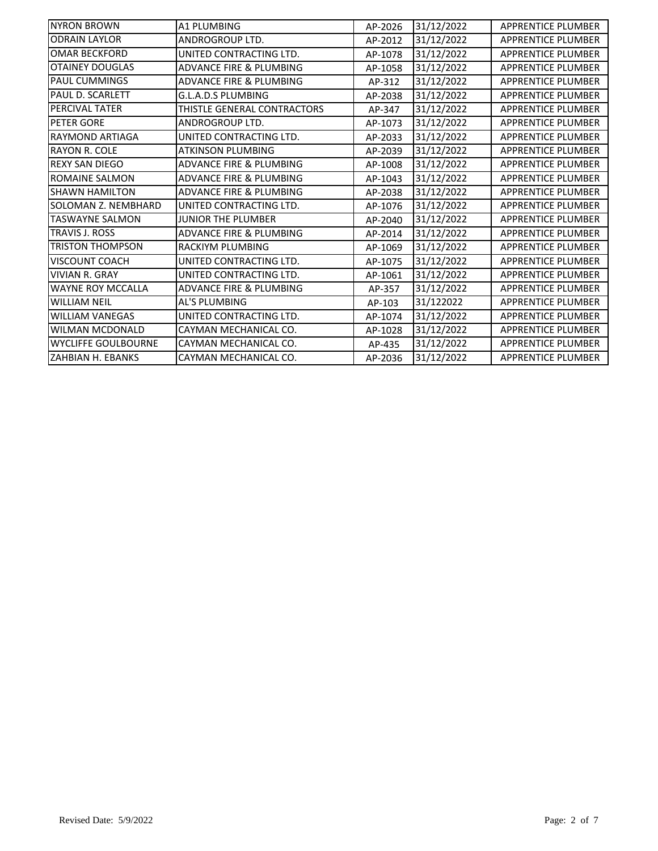| <b>NYRON BROWN</b>         | A1 PLUMBING                        | AP-2026 | 31/12/2022 | <b>APPRENTICE PLUMBER</b> |
|----------------------------|------------------------------------|---------|------------|---------------------------|
| <b>ODRAIN LAYLOR</b>       | ANDROGROUP LTD.                    | AP-2012 | 31/12/2022 | <b>APPRENTICE PLUMBER</b> |
| <b>OMAR BECKFORD</b>       | UNITED CONTRACTING LTD.            | AP-1078 | 31/12/2022 | APPRENTICE PLUMBER        |
| <b>OTAINEY DOUGLAS</b>     | <b>ADVANCE FIRE &amp; PLUMBING</b> | AP-1058 | 31/12/2022 | <b>APPRENTICE PLUMBER</b> |
| <b>PAUL CUMMINGS</b>       | <b>ADVANCE FIRE &amp; PLUMBING</b> | AP-312  | 31/12/2022 | <b>APPRENTICE PLUMBER</b> |
| PAUL D. SCARLETT           | G.L.A.D.S PLUMBING                 | AP-2038 | 31/12/2022 | <b>APPRENTICE PLUMBER</b> |
| <b>PERCIVAL TATER</b>      | THISTLE GENERAL CONTRACTORS        | AP-347  | 31/12/2022 | <b>APPRENTICE PLUMBER</b> |
| <b>PETER GORE</b>          | <b>ANDROGROUP LTD.</b>             | AP-1073 | 31/12/2022 | <b>APPRENTICE PLUMBER</b> |
| <b>RAYMOND ARTIAGA</b>     | UNITED CONTRACTING LTD.            | AP-2033 | 31/12/2022 | <b>APPRENTICE PLUMBER</b> |
| <b>RAYON R. COLE</b>       | <b>ATKINSON PLUMBING</b>           | AP-2039 | 31/12/2022 | <b>APPRENTICE PLUMBER</b> |
| <b>REXY SAN DIEGO</b>      | <b>ADVANCE FIRE &amp; PLUMBING</b> | AP-1008 | 31/12/2022 | <b>APPRENTICE PLUMBER</b> |
| <b>ROMAINE SALMON</b>      | <b>ADVANCE FIRE &amp; PLUMBING</b> | AP-1043 | 31/12/2022 | <b>APPRENTICE PLUMBER</b> |
| <b>SHAWN HAMILTON</b>      | <b>ADVANCE FIRE &amp; PLUMBING</b> | AP-2038 | 31/12/2022 | APPRENTICE PLUMBER        |
| SOLOMAN Z. NEMBHARD        | UNITED CONTRACTING LTD.            | AP-1076 | 31/12/2022 | <b>APPRENTICE PLUMBER</b> |
| <b>TASWAYNE SALMON</b>     | <b>JUNIOR THE PLUMBER</b>          | AP-2040 | 31/12/2022 | <b>APPRENTICE PLUMBER</b> |
| <b>TRAVIS J. ROSS</b>      | <b>ADVANCE FIRE &amp; PLUMBING</b> | AP-2014 | 31/12/2022 | <b>APPRENTICE PLUMBER</b> |
| <b>TRISTON THOMPSON</b>    | <b>RACKIYM PLUMBING</b>            | AP-1069 | 31/12/2022 | <b>APPRENTICE PLUMBER</b> |
| <b>VISCOUNT COACH</b>      | UNITED CONTRACTING LTD.            | AP-1075 | 31/12/2022 | <b>APPRENTICE PLUMBER</b> |
| <b>VIVIAN R. GRAY</b>      | UNITED CONTRACTING LTD.            | AP-1061 | 31/12/2022 | <b>APPRENTICE PLUMBER</b> |
| <b>WAYNE ROY MCCALLA</b>   | <b>ADVANCE FIRE &amp; PLUMBING</b> | AP-357  | 31/12/2022 | <b>APPRENTICE PLUMBER</b> |
| <b>WILLIAM NEIL</b>        | AL'S PLUMBING                      | AP-103  | 31/122022  | <b>APPRENTICE PLUMBER</b> |
| <b>WILLIAM VANEGAS</b>     | UNITED CONTRACTING LTD.            | AP-1074 | 31/12/2022 | <b>APPRENTICE PLUMBER</b> |
| <b>WILMAN MCDONALD</b>     | CAYMAN MECHANICAL CO.              | AP-1028 | 31/12/2022 | <b>APPRENTICE PLUMBER</b> |
| <b>WYCLIFFE GOULBOURNE</b> | CAYMAN MECHANICAL CO.              | AP-435  | 31/12/2022 | <b>APPRENTICE PLUMBER</b> |
| <b>ZAHBIAN H. EBANKS</b>   | CAYMAN MECHANICAL CO.              | AP-2036 | 31/12/2022 | <b>APPRENTICE PLUMBER</b> |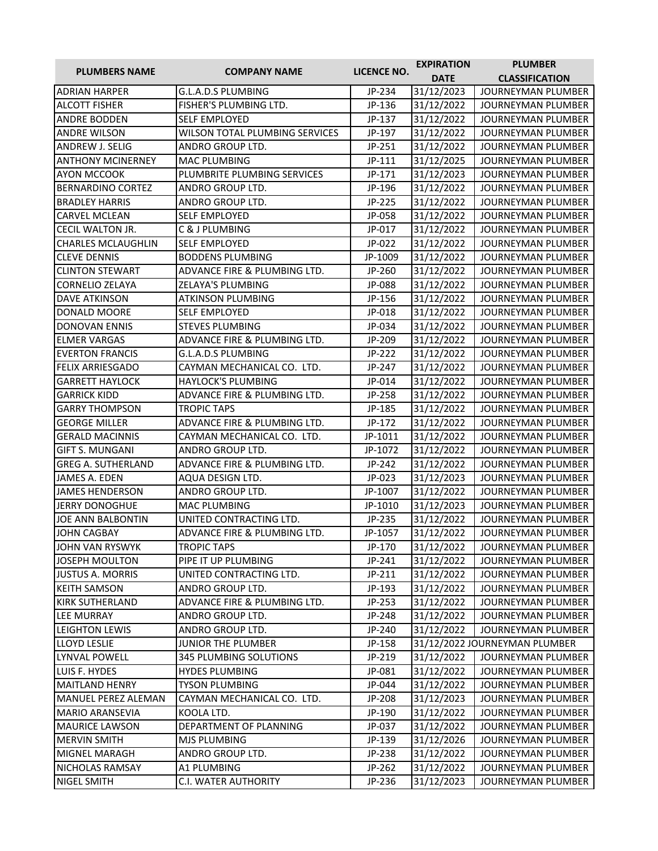| <b>PLUMBERS NAME</b>       | <b>COMPANY NAME</b>                   | LICENCE NO. | <b>EXPIRATION</b> | <b>PLUMBER</b>                |
|----------------------------|---------------------------------------|-------------|-------------------|-------------------------------|
|                            |                                       |             | <b>DATE</b>       | <b>CLASSIFICATION</b>         |
| <b>ADRIAN HARPER</b>       | G.L.A.D.S PLUMBING                    | JP-234      | 31/12/2023        | JOURNEYMAN PLUMBER            |
| <b>ALCOTT FISHER</b>       | FISHER'S PLUMBING LTD.                | JP-136      | 31/12/2022        | JOURNEYMAN PLUMBER            |
| <b>ANDRE BODDEN</b>        | <b>SELF EMPLOYED</b>                  | JP-137      | 31/12/2022        | <b>JOURNEYMAN PLUMBER</b>     |
| <b>ANDRE WILSON</b>        | <b>WILSON TOTAL PLUMBING SERVICES</b> | JP-197      | 31/12/2022        | JOURNEYMAN PLUMBER            |
| <b>ANDREW J. SELIG</b>     | ANDRO GROUP LTD.                      | JP-251      | 31/12/2022        | JOURNEYMAN PLUMBER            |
| <b>ANTHONY MCINERNEY</b>   | <b>MAC PLUMBING</b>                   | JP-111      | 31/12/2025        | JOURNEYMAN PLUMBER            |
| <b>AYON MCCOOK</b>         | PLUMBRITE PLUMBING SERVICES           | JP-171      | 31/12/2023        | JOURNEYMAN PLUMBER            |
| <b>BERNARDINO CORTEZ</b>   | ANDRO GROUP LTD.                      | JP-196      | 31/12/2022        | JOURNEYMAN PLUMBER            |
| <b>BRADLEY HARRIS</b>      | ANDRO GROUP LTD.                      | JP-225      | 31/12/2022        | JOURNEYMAN PLUMBER            |
| <b>CARVEL MCLEAN</b>       | <b>SELF EMPLOYED</b>                  | JP-058      | 31/12/2022        | <b>JOURNEYMAN PLUMBER</b>     |
| <b>CECIL WALTON JR.</b>    | C & J PLUMBING                        | JP-017      | 31/12/2022        | JOURNEYMAN PLUMBER            |
| <b>CHARLES MCLAUGHLIN</b>  | <b>SELF EMPLOYED</b>                  | JP-022      | 31/12/2022        | JOURNEYMAN PLUMBER            |
| <b>CLEVE DENNIS</b>        | <b>BODDENS PLUMBING</b>               | JP-1009     | 31/12/2022        | JOURNEYMAN PLUMBER            |
| <b>CLINTON STEWART</b>     | ADVANCE FIRE & PLUMBING LTD.          | JP-260      | 31/12/2022        | JOURNEYMAN PLUMBER            |
| <b>CORNELIO ZELAYA</b>     | ZELAYA'S PLUMBING                     | JP-088      | 31/12/2022        | JOURNEYMAN PLUMBER            |
| <b>DAVE ATKINSON</b>       | <b>ATKINSON PLUMBING</b>              | JP-156      | 31/12/2022        | JOURNEYMAN PLUMBER            |
| DONALD MOORE               | <b>SELF EMPLOYED</b>                  | JP-018      | 31/12/2022        | <b>JOURNEYMAN PLUMBER</b>     |
| <b>DONOVAN ENNIS</b>       | <b>STEVES PLUMBING</b>                | JP-034      | 31/12/2022        | JOURNEYMAN PLUMBER            |
| <b>ELMER VARGAS</b>        | ADVANCE FIRE & PLUMBING LTD.          | JP-209      | 31/12/2022        | <b>JOURNEYMAN PLUMBER</b>     |
| <b>EVERTON FRANCIS</b>     | G.L.A.D.S PLUMBING                    | JP-222      | 31/12/2022        | JOURNEYMAN PLUMBER            |
| <b>FELIX ARRIESGADO</b>    | CAYMAN MECHANICAL CO. LTD.            | JP-247      | 31/12/2022        | <b>JOURNEYMAN PLUMBER</b>     |
| <b>GARRETT HAYLOCK</b>     | <b>HAYLOCK'S PLUMBING</b>             | JP-014      | 31/12/2022        | JOURNEYMAN PLUMBER            |
| <b>GARRICK KIDD</b>        | ADVANCE FIRE & PLUMBING LTD.          | JP-258      | 31/12/2022        | JOURNEYMAN PLUMBER            |
| <b>GARRY THOMPSON</b>      | <b>TROPIC TAPS</b>                    | JP-185      | 31/12/2022        | JOURNEYMAN PLUMBER            |
| <b>GEORGE MILLER</b>       | ADVANCE FIRE & PLUMBING LTD.          | JP-172      | 31/12/2022        | JOURNEYMAN PLUMBER            |
| <b>GERALD MACINNIS</b>     | CAYMAN MECHANICAL CO. LTD.            | JP-1011     | 31/12/2022        | JOURNEYMAN PLUMBER            |
| <b>GIFT S. MUNGANI</b>     | ANDRO GROUP LTD.                      | JP-1072     | 31/12/2022        | JOURNEYMAN PLUMBER            |
| <b>GREG A. SUTHERLAND</b>  | ADVANCE FIRE & PLUMBING LTD.          | JP-242      | 31/12/2022        | JOURNEYMAN PLUMBER            |
| JAMES A. EDEN              | AQUA DESIGN LTD.                      | JP-023      | 31/12/2023        | JOURNEYMAN PLUMBER            |
| <b>JAMES HENDERSON</b>     | ANDRO GROUP LTD.                      | JP-1007     | 31/12/2022        | JOURNEYMAN PLUMBER            |
| <b>JERRY DONOGHUE</b>      | MAC PLUMBING                          | JP-1010     | 31/12/2023        | JOURNEYMAN PLUMBER            |
| <b>JOE ANN BALBONTIN</b>   | UNITED CONTRACTING LTD.               | JP-235      | 31/12/2022        | <b>JOURNEYMAN PLUMBER</b>     |
| <b>JOHN CAGBAY</b>         | ADVANCE FIRE & PLUMBING LTD.          | JP-1057     | 31/12/2022        | JOURNEYMAN PLUMBER            |
| JOHN VAN RYSWYK            | <b>TROPIC TAPS</b>                    | JP-170      | 31/12/2022        | JOURNEYMAN PLUMBER            |
| JOSEPH MOULTON             | PIPE IT UP PLUMBING                   | JP-241      | 31/12/2022        | JOURNEYMAN PLUMBER            |
| <b>JUSTUS A. MORRIS</b>    | UNITED CONTRACTING LTD.               | JP-211      | 31/12/2022        | JOURNEYMAN PLUMBER            |
| <b>KEITH SAMSON</b>        | ANDRO GROUP LTD.                      | JP-193      | 31/12/2022        | JOURNEYMAN PLUMBER            |
| <b>KIRK SUTHERLAND</b>     | ADVANCE FIRE & PLUMBING LTD.          | JP-253      | 31/12/2022        | <b>JOURNEYMAN PLUMBER</b>     |
| LEE MURRAY                 | ANDRO GROUP LTD.                      | JP-248      | 31/12/2022        | JOURNEYMAN PLUMBER            |
| <b>LEIGHTON LEWIS</b>      | ANDRO GROUP LTD.                      | JP-240      | 31/12/2022        | JOURNEYMAN PLUMBER            |
| <b>LLOYD LESLIE</b>        | JUNIOR THE PLUMBER                    | JP-158      |                   | 31/12/2022 JOURNEYMAN PLUMBER |
| <b>LYNVAL POWELL</b>       | 345 PLUMBING SOLUTIONS                | JP-219      | 31/12/2022        | JOURNEYMAN PLUMBER            |
| LUIS F. HYDES              | <b>HYDES PLUMBING</b>                 | JP-081      | 31/12/2022        | JOURNEYMAN PLUMBER            |
| <b>MAITLAND HENRY</b>      | TYSON PLUMBING                        | JP-044      | 31/12/2022        | JOURNEYMAN PLUMBER            |
| <b>MANUEL PEREZ ALEMAN</b> | CAYMAN MECHANICAL CO. LTD.            | JP-208      | 31/12/2023        | JOURNEYMAN PLUMBER            |
| <b>MARIO ARANSEVIA</b>     | KOOLA LTD.                            | JP-190      | 31/12/2022        | JOURNEYMAN PLUMBER            |
| <b>MAURICE LAWSON</b>      | DEPARTMENT OF PLANNING                | JP-037      | 31/12/2022        | JOURNEYMAN PLUMBER            |
| <b>MERVIN SMITH</b>        | MJS PLUMBING                          | JP-139      | 31/12/2026        | JOURNEYMAN PLUMBER            |
| <b>MIGNEL MARAGH</b>       | ANDRO GROUP LTD.                      | JP-238      | 31/12/2022        | JOURNEYMAN PLUMBER            |
| NICHOLAS RAMSAY            | A1 PLUMBING                           | JP-262      | 31/12/2022        | JOURNEYMAN PLUMBER            |
| NIGEL SMITH                | C.I. WATER AUTHORITY                  | JP-236      | 31/12/2023        | JOURNEYMAN PLUMBER            |
|                            |                                       |             |                   |                               |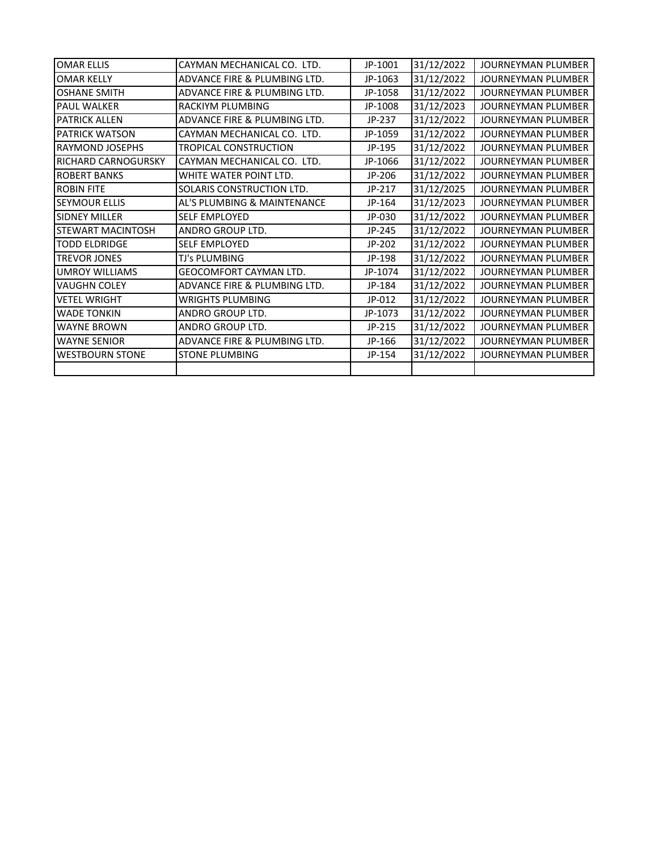| <b>OMAR ELLIS</b>        | CAYMAN MECHANICAL CO. LTD.    | JP-1001 | 31/12/2022 | <b>JOURNEYMAN PLUMBER</b> |
|--------------------------|-------------------------------|---------|------------|---------------------------|
| <b>OMAR KELLY</b>        | ADVANCE FIRE & PLUMBING LTD.  | JP-1063 | 31/12/2022 | JOURNEYMAN PLUMBER        |
| <b>OSHANE SMITH</b>      | ADVANCE FIRE & PLUMBING LTD.  | JP-1058 | 31/12/2022 | JOURNEYMAN PLUMBER        |
| <b>PAUL WALKER</b>       | RACKIYM PLUMBING              | JP-1008 | 31/12/2023 | <b>JOURNEYMAN PLUMBER</b> |
| <b>PATRICK ALLEN</b>     | ADVANCE FIRE & PLUMBING LTD.  | JP-237  | 31/12/2022 | <b>JOURNEYMAN PLUMBER</b> |
| <b>PATRICK WATSON</b>    | CAYMAN MECHANICAL CO. LTD.    | JP-1059 | 31/12/2022 | <b>JOURNEYMAN PLUMBER</b> |
| RAYMOND JOSEPHS          | TROPICAL CONSTRUCTION         | JP-195  | 31/12/2022 | JOURNEYMAN PLUMBER        |
| RICHARD CARNOGURSKY      | CAYMAN MECHANICAL CO. LTD.    | JP-1066 | 31/12/2022 | <b>JOURNEYMAN PLUMBER</b> |
| <b>ROBERT BANKS</b>      | WHITE WATER POINT LTD.        | JP-206  | 31/12/2022 | <b>JOURNEYMAN PLUMBER</b> |
| <b>ROBIN FITE</b>        | SOLARIS CONSTRUCTION LTD.     | JP-217  | 31/12/2025 | <b>JOURNEYMAN PLUMBER</b> |
| <b>SEYMOUR ELLIS</b>     | AL'S PLUMBING & MAINTENANCE   | JP-164  | 31/12/2023 | <b>JOURNEYMAN PLUMBER</b> |
| <b>SIDNEY MILLER</b>     | <b>SELF EMPLOYED</b>          | JP-030  | 31/12/2022 | JOURNEYMAN PLUMBER        |
| <b>STEWART MACINTOSH</b> | ANDRO GROUP LTD.              | JP-245  | 31/12/2022 | JOURNEYMAN PLUMBER        |
| <b>TODD ELDRIDGE</b>     | <b>SELF EMPLOYED</b>          | JP-202  | 31/12/2022 | <b>JOURNEYMAN PLUMBER</b> |
| <b>TREVOR JONES</b>      | TJ's PLUMBING                 | JP-198  | 31/12/2022 | JOURNEYMAN PLUMBER        |
| <b>UMROY WILLIAMS</b>    | <b>GEOCOMFORT CAYMAN LTD.</b> | JP-1074 | 31/12/2022 | <b>JOURNEYMAN PLUMBER</b> |
| <b>VAUGHN COLEY</b>      | ADVANCE FIRE & PLUMBING LTD.  | JP-184  | 31/12/2022 | JOURNEYMAN PLUMBER        |
| <b>VETEL WRIGHT</b>      | WRIGHTS PLUMBING              | JP-012  | 31/12/2022 | JOURNEYMAN PLUMBER        |
| <b>WADE TONKIN</b>       | ANDRO GROUP LTD.              | JP-1073 | 31/12/2022 | JOURNEYMAN PLUMBER        |
| <b>WAYNE BROWN</b>       | ANDRO GROUP LTD.              | JP-215  | 31/12/2022 | <b>JOURNEYMAN PLUMBER</b> |
| <b>WAYNE SENIOR</b>      | ADVANCE FIRE & PLUMBING LTD.  | JP-166  | 31/12/2022 | <b>JOURNEYMAN PLUMBER</b> |
| <b>WESTBOURN STONE</b>   | <b>STONE PLUMBING</b>         | JP-154  | 31/12/2022 | <b>JOURNEYMAN PLUMBER</b> |
|                          |                               |         |            |                           |
|                          |                               |         |            |                           |